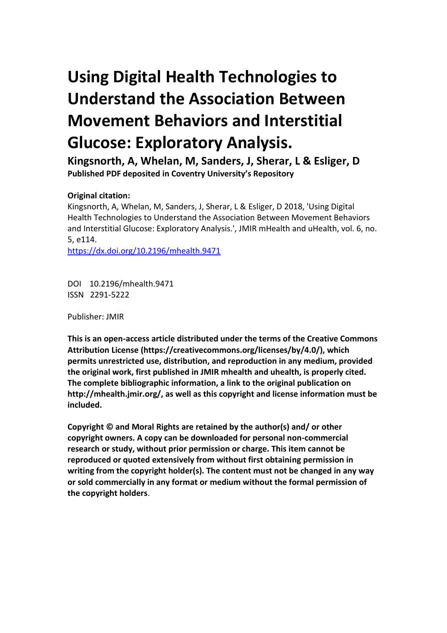# **Using Digital Health Technologies to Understand the Association Between Movement Behaviors and Interstitial Glucose: Exploratory Analysis.**

**Kingsnorth, A, Whelan, M, Sanders, J, Sherar, L & Esliger, D Published PDF deposited in Coventry University's Repository** 

# **Original citation:**

Kingsnorth, A, Whelan, M, Sanders, J, Sherar, L & Esliger, D 2018, 'Using Digital Health Technologies to Understand the Association Between Movement Behaviors and Interstitial Glucose: Exploratory Analysis.', JMIR mHealth and uHealth, vol. 6, no. 5, e114.

https://dx.doi.org/10.2196/mhealth.9471

DOI 10.2196/mhealth.9471 ISSN 2291-5222

Publisher: JMIR

**This is an open-access article distributed under the terms of the Creative Commons Attribution License (https://creativecommons.org/licenses/by/4.0/), which permits unrestricted use, distribution, and reproduction in any medium, provided the original work, first published in JMIR mhealth and uhealth, is properly cited. The complete bibliographic information, a link to the original publication on http://mhealth.jmir.org/, as well as this copyright and license information must be included.**

**Copyright © and Moral Rights are retained by the author(s) and/ or other copyright owners. A copy can be downloaded for personal non-commercial research or study, without prior permission or charge. This item cannot be reproduced or quoted extensively from without first obtaining permission in writing from the copyright holder(s). The content must not be changed in any way or sold commercially in any format or medium without the formal permission of the copyright holders**.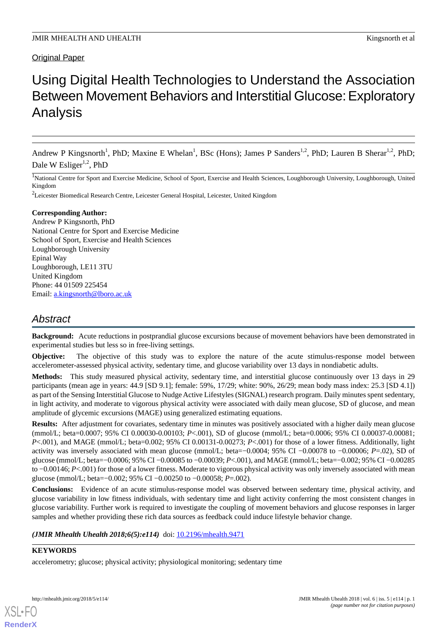# Original Paper

# Using Digital Health Technologies to Understand the Association Between Movement Behaviors and Interstitial Glucose: Exploratory Analysis

Andrew P Kingsnorth<sup>1</sup>, PhD; Maxine E Whelan<sup>1</sup>, BSc (Hons); James P Sanders<sup>1,2</sup>, PhD; Lauren B Sherar<sup>1,2</sup>, PhD; Dale W Esliger<sup>1,2</sup>, PhD

<sup>1</sup>National Centre for Sport and Exercise Medicine, School of Sport, Exercise and Health Sciences, Loughborough University, Loughborough, United Kingdom

<sup>2</sup>Leicester Biomedical Research Centre, Leicester General Hospital, Leicester, United Kingdom

#### **Corresponding Author:**

Andrew P Kingsnorth, PhD National Centre for Sport and Exercise Medicine School of Sport, Exercise and Health Sciences Loughborough University Epinal Way Loughborough, LE11 3TU United Kingdom Phone: 44 01509 225454 Email: [a.kingsnorth@lboro.ac.uk](mailto:a.kingsnorth@lboro.ac.uk)

# *Abstract*

**Background:** Acute reductions in postprandial glucose excursions because of movement behaviors have been demonstrated in experimental studies but less so in free-living settings.

**Objective:** The objective of this study was to explore the nature of the acute stimulus-response model between accelerometer-assessed physical activity, sedentary time, and glucose variability over 13 days in nondiabetic adults.

**Methods:** This study measured physical activity, sedentary time, and interstitial glucose continuously over 13 days in 29 participants (mean age in years: 44.9 [SD 9.1]; female: 59%, 17/29; white: 90%, 26/29; mean body mass index: 25.3 [SD 4.1]) as part of the Sensing Interstitial Glucose to Nudge Active Lifestyles (SIGNAL) research program. Daily minutes spent sedentary, in light activity, and moderate to vigorous physical activity were associated with daily mean glucose, SD of glucose, and mean amplitude of glycemic excursions (MAGE) using generalized estimating equations.

**Results:** After adjustment for covariates, sedentary time in minutes was positively associated with a higher daily mean glucose (mmol/L; beta=0.0007; 95% CI 0.00030-0.00103; *P*<.001), SD of glucose (mmol/L; beta=0.0006; 95% CI 0.00037-0.00081; *P*<.001), and MAGE (mmol/L; beta=0.002; 95% CI 0.00131-0.00273; *P*<.001) for those of a lower fitness. Additionally, light activity was inversely associated with mean glucose (mmol/L; beta=−0.0004; 95% CI −0.00078 to −0.00006; *P*=.02), SD of glucose (mmol/L; beta=−0.0006; 95% CI −0.00085 to −0.00039; *P*<.001), and MAGE (mmol/L; beta=−0.002; 95% CI −0.00285 to –0.00146; *P*<.001) for those of a lower fitness. Moderate to vigorous physical activity was only inversely associated with mean glucose (mmol/L; beta=−0.002; 95% CI −0.00250 to −0.00058; *P*=.002).

**Conclusions:** Evidence of an acute stimulus-response model was observed between sedentary time, physical activity, and glucose variability in low fitness individuals, with sedentary time and light activity conferring the most consistent changes in glucose variability. Further work is required to investigate the coupling of movement behaviors and glucose responses in larger samples and whether providing these rich data sources as feedback could induce lifestyle behavior change.

*(JMIR Mhealth Uhealth 2018;6(5):e114)* doi:  $10.2196/$ mhealth.9471

#### **KEYWORDS**

accelerometry; glucose; physical activity; physiological monitoring; sedentary time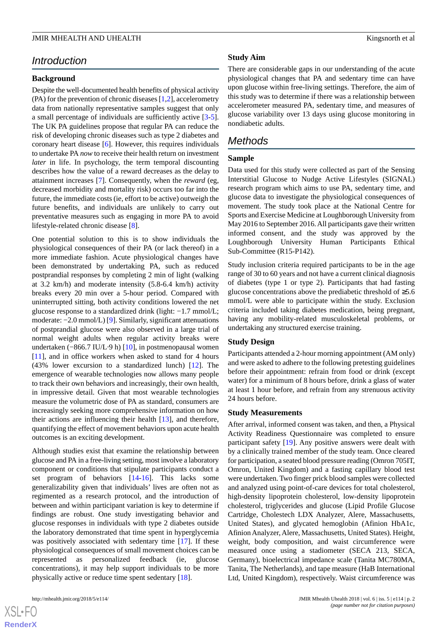# *Introduction*

#### **Background**

Despite the well-documented health benefits of physical activity (PA) for the prevention of chronic diseases [[1](#page-11-0)[,2](#page-11-1)], accelerometry data from nationally representative samples suggest that only a small percentage of individuals are sufficiently active [\[3-](#page-11-2)[5\]](#page-11-3). The UK PA guidelines propose that regular PA can reduce the risk of developing chronic diseases such as type 2 diabetes and coronary heart disease [[6](#page-11-4)]. However, this requires individuals to undertake PA *now* to receive their health return on investment *later* in life. In psychology, the term temporal discounting describes how the value of a reward decreases as the delay to attainment increases [\[7](#page-11-5)]. Consequently, when the *reward* (eg, decreased morbidity and mortality risk) occurs too far into the future, the immediate costs (ie, effort to be active) outweigh the future benefits, and individuals are unlikely to carry out preventative measures such as engaging in more PA to avoid lifestyle-related chronic disease [[8\]](#page-11-6).

One potential solution to this is to show individuals the physiological consequences of their PA (or lack thereof) in a more immediate fashion. Acute physiological changes have been demonstrated by undertaking PA, such as reduced postprandial responses by completing 2 min of light (walking at 3.2 km/h) and moderate intensity (5.8-6.4 km/h) activity breaks every 20 min over a 5-hour period. Compared with uninterrupted sitting, both activity conditions lowered the net glucose response to a standardized drink (light: −1.7 mmol/L; moderate: −2.0 mmol/L) [[9](#page-11-7)]. Similarly, significant attenuations of postprandial glucose were also observed in a large trial of normal weight adults when regular activity breaks were undertaken (−866.7 IU/L·9 h) [[10\]](#page-11-8), in postmenopausal women [[11\]](#page-11-9), and in office workers when asked to stand for 4 hours (43% lower excursion to a standardized lunch) [\[12](#page-11-10)]. The emergence of wearable technologies now allows many people to track their own behaviors and increasingly, their own health, in impressive detail. Given that most wearable technologies measure the volumetric dose of PA as standard, consumers are increasingly seeking more comprehensive information on how their actions are influencing their health [\[13](#page-11-11)], and therefore, quantifying the effect of movement behaviors upon acute health outcomes is an exciting development.

Although studies exist that examine the relationship between glucose and PA in a free-living setting, most involve a laboratory component or conditions that stipulate participants conduct a set program of behaviors [\[14](#page-11-12)[-16](#page-11-13)]. This lacks some generalizability given that individuals' lives are often not as regimented as a research protocol, and the introduction of between and within participant variation is key to determine if findings are robust. One study investigating behavior and glucose responses in individuals with type 2 diabetes outside the laboratory demonstrated that time spent in hyperglycemia was positively associated with sedentary time [\[17](#page-11-14)]. If these physiological consequences of small movement choices can be represented as personalized feedback (ie, glucose concentrations), it may help support individuals to be more physically active or reduce time spent sedentary [\[18](#page-12-0)].

#### **Study Aim**

There are considerable gaps in our understanding of the acute physiological changes that PA and sedentary time can have upon glucose within free-living settings. Therefore, the aim of this study was to determine if there was a relationship between accelerometer measured PA, sedentary time, and measures of glucose variability over 13 days using glucose monitoring in nondiabetic adults.

# *Methods*

#### **Sample**

Data used for this study were collected as part of the Sensing Interstitial Glucose to Nudge Active Lifestyles (SIGNAL) research program which aims to use PA, sedentary time, and glucose data to investigate the physiological consequences of movement. The study took place at the National Centre for Sports and Exercise Medicine at Loughborough University from May 2016 to September 2016. All participants gave their written informed consent, and the study was approved by the Loughborough University Human Participants Ethical Sub-Committee (R15-P142).

Study inclusion criteria required participants to be in the age range of 30 to 60 years and not have a current clinical diagnosis of diabetes (type 1 or type 2). Participants that had fasting glucose concentrations above the prediabetic threshold of ≥5.6 mmol/L were able to participate within the study. Exclusion criteria included taking diabetes medication, being pregnant, having any mobility-related musculoskeletal problems, or undertaking any structured exercise training.

#### **Study Design**

Participants attended a 2-hour morning appointment (AM only) and were asked to adhere to the following pretesting guidelines before their appointment: refrain from food or drink (except water) for a minimum of 8 hours before, drink a glass of water at least 1 hour before, and refrain from any strenuous activity 24 hours before.

#### **Study Measurements**

After arrival, informed consent was taken, and then, a Physical Activity Readiness Questionnaire was completed to ensure participant safety [\[19](#page-12-1)]. Any positive answers were dealt with by a clinically trained member of the study team. Once cleared for participation, a seated blood pressure reading (Omron 705IT, Omron, United Kingdom) and a fasting capillary blood test were undertaken. Two finger prick blood samples were collected and analyzed using point-of-care devices for total cholesterol, high-density lipoprotein cholesterol, low-density lipoprotein cholesterol, triglycerides and glucose (Lipid Profile Glucose Cartridge, Cholestech LDX Analyzer, Alere, Massachusetts, United States), and glycated hemoglobin (Afinion HbA1c, Afinion Analyzer, Alere, Massachusetts, United States). Height, weight, body composition, and waist circumference were measured once using a stadiometer (SECA 213, SECA, Germany), bioelectrical impedance scale (Tanita MC780MA, Tanita, The Netherlands), and tape measure (HaB International Ltd, United Kingdom), respectively. Waist circumference was

```
XS\cdotFC
RenderX
```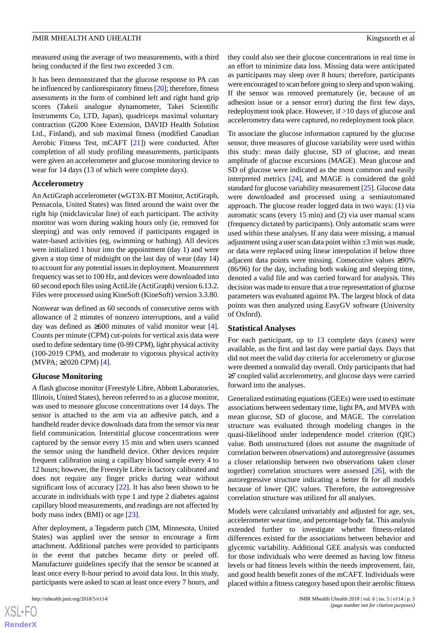measured using the average of two measurements, with a third being conducted if the first two exceeded 3 cm.

It has been demonstrated that the glucose response to PA can be influenced by cardiorespiratory fitness [[20](#page-12-2)]; therefore, fitness assessments in the form of combined left and right hand grip scores (Takeii analogue dynamometer, Takei Scientific Instruments Co, LTD, Japan), quadriceps maximal voluntary contraction (G200 Knee Extension, DAVID Health Solution Ltd., Finland), and sub maximal fitness (modified Canadian Aerobic Fitness Test, mCAFT [\[21](#page-12-3)]) were conducted. After completion of all study profiling measurements, participants were given an accelerometer and glucose monitoring device to wear for 14 days (13 of which were complete days).

#### **Accelerometry**

An ActiGraph accelerometer (wGT3X-BT Monitor, ActiGraph, Pensacola, United States) was fitted around the waist over the right hip (midclavicular line) of each participant. The activity monitor was worn during waking hours only (ie, removed for sleeping) and was only removed if participants engaged in water-based activities (eg, swimming or bathing). All devices were initialized 1 hour into the appointment (day 1) and were given a stop time of midnight on the last day of wear (day 14) to account for any potential issues in deployment. Measurement frequency was set to 100 Hz, and devices were downloaded into 60 second epoch files using ActiLife (ActiGraph) version 6.13.2. Files were processed using KineSoft (KineSoft) version 3.3.80.

Nonwear was defined as 60 seconds of consecutive zeros with allowance of 2 minutes of nonzero interruptions, and a valid day was defined as  $\geq 600$  minutes of valid monitor wear [[4\]](#page-11-15). Counts per minute (CPM) cut-points for vertical axis data were used to define sedentary time (0-99 CPM), light physical activity (100-2019 CPM), and moderate to vigorous physical activity (MVPA; ≥2020 CPM) [\[4](#page-11-15)].

#### **Glucose Monitoring**

A flash glucose monitor (Freestyle Libre, Abbott Laboratories, Illinois, United States), hereon referred to as a glucose monitor, was used to measure glucose concentrations over 14 days. The sensor is attached to the arm via an adhesive patch, and a handheld reader device downloads data from the sensor via near field communication. Interstitial glucose concentrations were captured by the sensor every 15 min and when users scanned the sensor using the handheld device. Other devices require frequent calibration using a capillary blood sample every 4 to 12 hours; however, the Freestyle Libre is factory calibrated and does not require any finger pricks during wear without significant loss of accuracy [\[22](#page-12-4)]. It has also been shown to be accurate in individuals with type 1 and type 2 diabetes against capillary blood measurements, and readings are not affected by body mass index (BMI) or age [[23\]](#page-12-5).

After deployment, a Tegaderm patch (3M, Minnesota, United States) was applied over the sensor to encourage a firm attachment. Additional patches were provided to participants in the event that patches became dirty or peeled off. Manufacturer guidelines specify that the sensor be scanned at least once every 8-hour period to avoid data loss. In this study, participants were asked to scan at least once every 7 hours, and

they could also see their glucose concentrations in real time in an effort to minimize data loss. Missing data were anticipated as participants may sleep over 8 hours; therefore, participants were encouraged to scan before going to sleep and upon waking. If the sensor was removed prematurely (ie, because of an adhesion issue or a sensor error) during the first few days, redeployment took place. However, if >10 days of glucose and accelerometry data were captured, no redeployment took place.

To associate the glucose information captured by the glucose sensor, three measures of glucose variability were used within this study: mean daily glucose, SD of glucose, and mean amplitude of glucose excursions (MAGE). Mean glucose and SD of glucose were indicated as the most common and easily interpreted metrics [\[24](#page-12-6)], and MAGE is considered the gold standard for glucose variability measurement [\[25](#page-12-7)]. Glucose data were downloaded and processed using a semiautomated approach. The glucose reader logged data in two ways: (1) via automatic scans (every 15 min) and (2) via user manual scans (frequency dictated by participants). Only automatic scans were used within these analyses. If any data were missing, a manual adjustment using a user scan data point within  $\pm 3$  min was made, or data were replaced using linear interpolation if below three adjacent data points were missing. Consecutive values ≥90% (86/96) for the day, including both waking and sleeping time, denoted a valid file and was carried forward for analysis. This decision was made to ensure that a true representation of glucose parameters was evaluated against PA. The largest block of data points was then analyzed using EasyGV software (University of Oxford).

#### **Statistical Analyses**

For each participant, up to 13 complete days (cases) were available, as the first and last day were partial days. Days that did not meet the valid day criteria for accelerometry or glucose were deemed a nonvalid day overall. Only participants that had ≥7 coupled valid accelerometry, and glucose days were carried forward into the analyses.

Generalized estimating equations (GEEs) were used to estimate associations between sedentary time, light PA, and MVPA with mean glucose, SD of glucose, and MAGE. The correlation structure was evaluated through modeling changes in the quasi-likelihood under independence model criterion (QIC) value. Both unstructured (does not assume the magnitude of correlation between observations) and autoregressive (assumes a closer relationship between two observations taken closer together) correlation structures were assessed [[26\]](#page-12-8), with the autoregressive structure indicating a better fit for all models because of lower QIC values. Therefore, the autoregressive correlation structure was utilized for all analyses.

Models were calculated univariably and adjusted for age, sex, accelerometer wear time, and percentage body fat. This analysis extended further to investigate whether fitness-related differences existed for the associations between behavior and glycemic variability. Additional GEE analysis was conducted for those individuals who were deemed as having low fitness levels or had fitness levels within the needs improvement, fair, and good health benefit zones of the mCAFT. Individuals were placed within a fitness category based upon their aerobic fitness

```
XS-FO
RenderX
```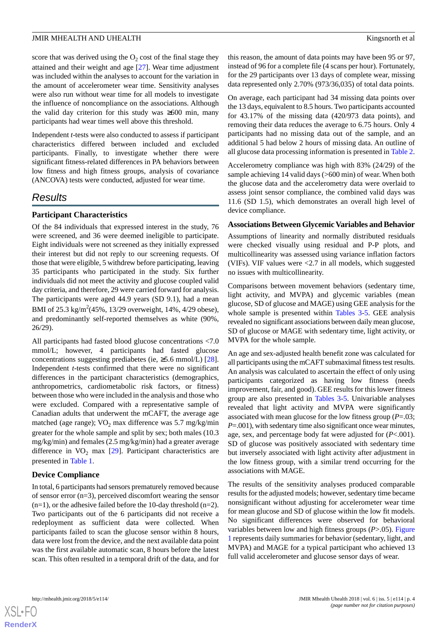score that was derived using the  $O_2$  cost of the final stage they attained and their weight and age [\[27](#page-12-9)]. Wear time adjustment was included within the analyses to account for the variation in the amount of accelerometer wear time. Sensitivity analyses were also run without wear time for all models to investigate the influence of noncompliance on the associations. Although the valid day criterion for this study was ≥600 min, many participants had wear times well above this threshold.

Independent *t*-tests were also conducted to assess if participant characteristics differed between included and excluded participants. Finally, to investigate whether there were significant fitness-related differences in PA behaviors between low fitness and high fitness groups, analysis of covariance (ANCOVA) tests were conducted, adjusted for wear time.

# *Results*

#### **Participant Characteristics**

Of the 84 individuals that expressed interest in the study, 76 were screened, and 36 were deemed ineligible to participate. Eight individuals were not screened as they initially expressed their interest but did not reply to our screening requests. Of those that were eligible, 5 withdrew before participating, leaving 35 participants who participated in the study. Six further individuals did not meet the activity and glucose coupled valid day criteria, and therefore, 29 were carried forward for analysis. The participants were aged 44.9 years (SD 9.1), had a mean BMI of 25.3 kg/m<sup>2</sup>(45%, 13/29 overweight, 14%, 4/29 obese), and predominantly self-reported themselves as white (90%, 26/29).

All participants had fasted blood glucose concentrations <7.0 mmol/L; however, 4 participants had fasted glucose concentrations suggesting prediabetes (ie,  $\geq$ 5.6 mmol/L) [[28\]](#page-12-10). Independent *t*-tests confirmed that there were no significant differences in the participant characteristics (demographics, anthropometrics, cardiometabolic risk factors, or fitness) between those who were included in the analysis and those who were excluded. Compared with a representative sample of Canadian adults that underwent the mCAFT, the average age matched (age range);  $VO<sub>2</sub>$  max difference was 5.7 mg/kg/min greater for the whole sample and split by sex; both males (10.3 mg/kg/min) and females (2.5 mg/kg/min) had a greater average difference in  $VO<sub>2</sub>$  max [\[29](#page-12-11)]. Participant characteristics are presented in [Table 1](#page-5-0).

#### **Device Compliance**

In total, 6 participants had sensors prematurely removed because of sensor error (n=3), perceived discomfort wearing the sensor  $(n=1)$ , or the adhesive failed before the 10-day threshold  $(n=2)$ . Two participants out of the 6 participants did not receive a redeployment as sufficient data were collected. When participants failed to scan the glucose sensor within 8 hours, data were lost from the device, and the next available data point was the first available automatic scan, 8 hours before the latest scan. This often resulted in a temporal drift of the data, and for

this reason, the amount of data points may have been 95 or 97, instead of 96 for a complete file (4 scans per hour). Fortunately, for the 29 participants over 13 days of complete wear, missing data represented only 2.70% (973/36,035) of total data points.

On average, each participant had 34 missing data points over the 13 days, equivalent to 8.5 hours. Two participants accounted for 43.17% of the missing data (420/973 data points), and removing their data reduces the average to 6.75 hours. Only 4 participants had no missing data out of the sample, and an additional 5 had below 2 hours of missing data. An outline of all glucose data processing information is presented in [Table 2](#page-6-0).

Accelerometry compliance was high with 83% (24/29) of the sample achieving 14 valid days (>600 min) of wear. When both the glucose data and the accelerometry data were overlaid to assess joint sensor compliance, the combined valid days was 11.6 (SD 1.5), which demonstrates an overall high level of device compliance.

#### **Associations Between Glycemic Variables and Behavior**

Assumptions of linearity and normally distributed residuals were checked visually using residual and P-P plots, and multicollinearity was assessed using variance inflation factors (VIFs). VIF values were  $\langle 2.7 \rangle$  in all models, which suggested no issues with multicollinearity.

Comparisons between movement behaviors (sedentary time, light activity, and MVPA) and glycemic variables (mean glucose, SD of glucose and MAGE) using GEE analysis for the whole sample is presented within [Tables 3](#page-7-0)-[5](#page-8-0). GEE analysis revealed no significant associations between daily mean glucose, SD of glucose or MAGE with sedentary time, light activity, or MVPA for the whole sample.

An age and sex-adjusted health benefit zone was calculated for all participants using the mCAFT submaximal fitness test results. An analysis was calculated to ascertain the effect of only using participants categorized as having low fitness (needs improvement, fair, and good). GEE results for this lower fitness group are also presented in [Tables 3](#page-7-0)[-5](#page-8-0). Univariable analyses revealed that light activity and MVPA were significantly associated with mean glucose for the low fitness group (*P*=.03; *P*=.001), with sedentary time also significant once wear minutes, age, sex, and percentage body fat were adjusted for (*P*<.001). SD of glucose was positively associated with sedentary time but inversely associated with light activity after adjustment in the low fitness group, with a similar trend occurring for the associations with MAGE.

The results of the sensitivity analyses produced comparable results for the adjusted models; however, sedentary time became nonsignificant without adjusting for accelerometer wear time for mean glucose and SD of glucose within the low fit models. No significant differences were observed for behavioral variables between low and high fitness groups (*P*>.05). [Figure](#page-8-1) [1](#page-8-1) represents daily summaries for behavior (sedentary, light, and MVPA) and MAGE for a typical participant who achieved 13 full valid accelerometer and glucose sensor days of wear.

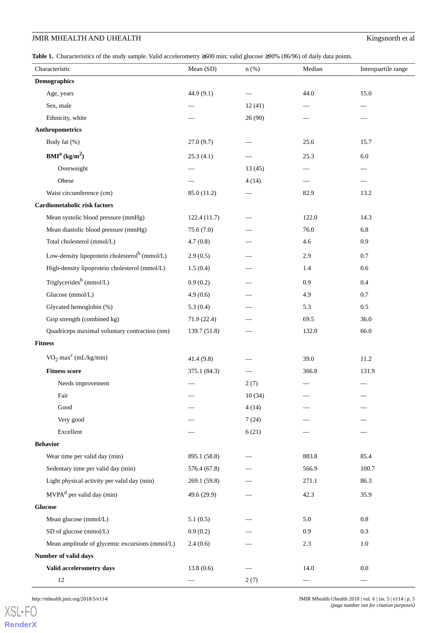# **JMIR MHEALTH AND UHEALTH** Kingsnorth et al

<span id="page-5-0"></span>**Table 1.** Characteristics of the study sample. Valid accelerometry ≥600 min; valid glucose ≥90% (86/96) of daily data points.

| Characteristic                                            | Mean (SD)    | $n$ (%) | Median | Interquartile range |
|-----------------------------------------------------------|--------------|---------|--------|---------------------|
| <b>Demographics</b>                                       |              |         |        |                     |
| Age, years                                                | 44.9 (9.1)   |         | 44.0   | 15.0                |
| Sex, male                                                 |              | 12(41)  |        |                     |
| Ethnicity, white                                          |              | 26(90)  |        |                     |
| Anthropometrics                                           |              |         |        |                     |
| Body fat (%)                                              | 27.0(9.7)    |         | 25.6   | 15.7                |
| BMI <sup>a</sup> (kg/m <sup>2</sup> )                     | 25.3(4.1)    |         | 25.3   | 6.0                 |
| Overweight                                                |              | 13(45)  | -      |                     |
| Obese                                                     |              | 4(14)   |        |                     |
| Waist circumference (cm)                                  | 85.0 (11.2)  |         | 82.9   | 13.2                |
| Cardiometabolic risk factors                              |              |         |        |                     |
| Mean systolic blood pressure (mmHg)                       | 122.4(11.7)  |         | 122.0  | 14.3                |
| Mean diastolic blood pressure (mmHg)                      | 75.6(7.0)    |         | 76.0   | 6.8                 |
| Total cholesterol (mmol/L)                                | 4.7(0.8)     |         | 4.6    | 0.9                 |
| Low-density lipoprotein cholesterol <sup>b</sup> (mmol/L) | 2.9(0.5)     |         | 2.9    | 0.7                 |
| High-density lipoprotein cholesterol (mmol/L)             | 1.5(0.4)     |         | 1.4    | 0.6                 |
| Triglycerides <sup>b</sup> (mmol/L)                       | 0.9(0.2)     |         | 0.9    | 0.4                 |
| Glucose (mmol/L)                                          | 4.9(0.6)     |         | 4.9    | $0.7\,$             |
| Glycated hemoglobin (%)                                   | 5.3(0.4)     |         | 5.3    | 0.5                 |
| Grip strength (combined kg)                               | 71.9 (22.4)  |         | 69.5   | 36.0                |
| Quadriceps maximal voluntary contraction (nm)             | 139.7 (51.8) |         | 132.0  | 66.0                |
| <b>Fitness</b>                                            |              |         |        |                     |
| $VO2 maxc (mL/kg/min)$                                    | 41.4(9.8)    |         | 39.0   | 11.2                |
| <b>Fitness score</b>                                      | 375.1 (84.3) |         | 366.8  | 131.9               |
| Needs improvement                                         |              | 2(7)    |        |                     |
| Fair                                                      |              | 10(34)  |        |                     |
| Good                                                      |              | 4(14)   |        |                     |
| Very good                                                 |              | 7(24)   |        |                     |
| Excellent                                                 |              | 6(21)   |        |                     |
| <b>Behavior</b>                                           |              |         |        |                     |
| Wear time per valid day (min)                             | 895.1 (58.8) |         | 883.8  | 85.4                |
| Sedentary time per valid day (min)                        | 576.4 (67.8) |         | 566.9  | 100.7               |
| Light physical activity per valid day (min)               | 269.1 (59.8) |         | 271.1  | 86.3                |
| $MVPAd$ per valid day (min)                               | 49.6 (29.9)  |         | 42.3   | 35.9                |
| <b>Glucose</b>                                            |              |         |        |                     |
| Mean glucose (mmol/L)                                     | 5.1(0.5)     |         | 5.0    | $0.8\,$             |
| SD of glucose (mmol/L)                                    | 0.9(0.2)     |         | 0.9    | 0.3                 |
| Mean amplitude of glycemic excursions (mmol/L)            | 2.4(0.6)     |         | 2.3    | $1.0\,$             |
| Number of valid days                                      |              |         |        |                     |
| Valid accelerometry days                                  | 13.8(0.6)    |         | 14.0   | $0.0\,$             |
| $12\,$                                                    |              | 2(7)    |        |                     |

[XSL](http://www.w3.org/Style/XSL)•FO **[RenderX](http://www.renderx.com/)**

http://mhealth.jmir.org/2018/5/e114/ JMIR Mhealth Uhealth 2018 | vol. 6 | iss. 5 | e114 | p. 5 *(page number not for citation purposes)*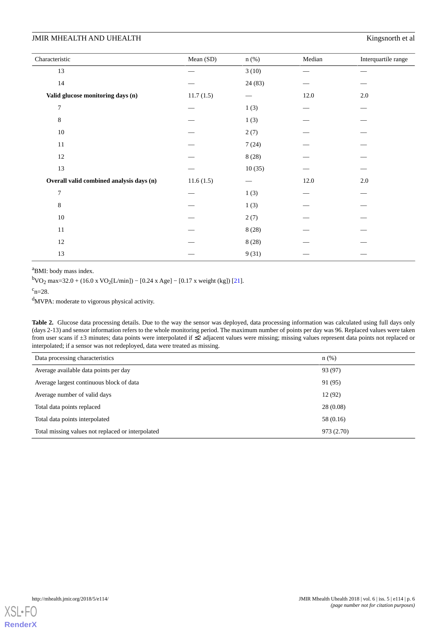### **JMIR MHEALTH AND UHEALTH Kingsnorth et al**

| Characteristic                           | Mean (SD) | $n$ (%) | Median | Interquartile range |
|------------------------------------------|-----------|---------|--------|---------------------|
| 13                                       |           | 3(10)   |        |                     |
| $14\,$                                   |           | 24(83)  |        |                     |
| Valid glucose monitoring days (n)        | 11.7(1.5) |         | 12.0   | 2.0                 |
| $\overline{7}$                           |           | 1(3)    |        |                     |
| 8                                        |           | 1(3)    |        |                     |
| $10\,$                                   |           | 2(7)    |        |                     |
| 11                                       |           | 7(24)   |        |                     |
| $12\,$                                   |           | 8(28)   |        |                     |
| 13                                       |           | 10(35)  |        |                     |
| Overall valid combined analysis days (n) | 11.6(1.5) |         | 12.0   | 2.0                 |
| $\overline{7}$                           |           | 1(3)    |        |                     |
| $\,8\,$                                  |           | 1(3)    |        |                     |
| $10\,$                                   |           | 2(7)    |        |                     |
| 11                                       |           | 8(28)   |        |                     |
| 12                                       |           | 8(28)   |        |                     |
| 13                                       |           | 9(31)   |        |                     |

<sup>a</sup>BMI: body mass index.

 ${}^{b}$ VO<sub>2</sub> max=32.0 + (16.0 x VO<sub>2</sub>[L/min]) – [0.24 x Age] – [0.17 x weight (kg]) [[21](#page-12-3)].

<span id="page-6-0"></span> $c_{n=28}$ .

<sup>d</sup>MVPA: moderate to vigorous physical activity.

**Table 2.** Glucose data processing details. Due to the way the sensor was deployed, data processing information was calculated using full days only (days 2-13) and sensor information refers to the whole monitoring period. The maximum number of points per day was 96. Replaced values were taken from user scans if ±3 minutes; data points were interpolated if ≤2 adjacent values were missing; missing values represent data points not replaced or interpolated; if a sensor was not redeployed, data were treated as missing.

| Data processing characteristics                   | $n$ (%)    |
|---------------------------------------------------|------------|
| Average available data points per day             | 93 (97)    |
| Average largest continuous block of data          | 91 (95)    |
| Average number of valid days                      | 12 (92)    |
| Total data points replaced                        | 28(0.08)   |
| Total data points interpolated                    | 58 (0.16)  |
| Total missing values not replaced or interpolated | 973 (2.70) |

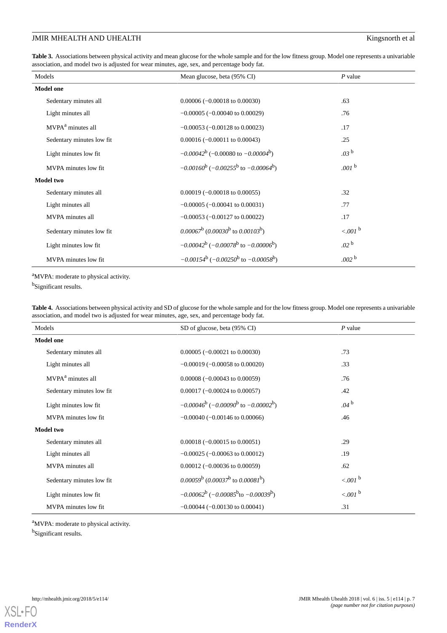# JMIR MHEALTH AND UHEALTH **Kingsnorth** et al

<span id="page-7-0"></span>**Table 3.** Associations between physical activity and mean glucose for the whole sample and for the low fitness group. Model one represents a univariable association, and model two is adjusted for wear minutes, age, sex, and percentage body fat.

| Models                        | Mean glucose, beta (95% CI)                                    | $P$ value            |
|-------------------------------|----------------------------------------------------------------|----------------------|
| <b>Model one</b>              |                                                                |                      |
| Sedentary minutes all         | $0.00006 (-0.00018 \text{ to } 0.00030)$                       | .63                  |
| Light minutes all             | $-0.00005$ ( $-0.00040$ to 0.00029)                            | .76                  |
| MVPA <sup>a</sup> minutes all | $-0.00053$ ( $-0.00128$ to 0.00023)                            | .17                  |
| Sedentary minutes low fit     | $0.00016 (-0.00011$ to $0.00043$ )                             | .25                  |
| Light minutes low fit         | $-0.00042^b$ (-0.00080 to $-0.00004^b$ )                       | .03 <sup>b</sup>     |
| MVPA minutes low fit          | $-0.00160^b$ ( $-0.00255^b$ to $-0.00064^b$ )                  | .001 $^{\rm b}$      |
| Model two                     |                                                                |                      |
| Sedentary minutes all         | $0.00019 (-0.00018 \text{ to } 0.00055)$                       | .32                  |
| Light minutes all             | $-0.00005$ ( $-0.00041$ to 0.00031)                            | .77                  |
| MVPA minutes all              | $-0.00053$ ( $-0.00127$ to 0.00022)                            | .17                  |
| Sedentary minutes low fit     | $(0.00067^b)(0.00030^b)$ to $(0.00103^b)$                      | $<.001$ <sup>b</sup> |
| Light minutes low fit         | $-0.00042^b$ ( $-0.00078^b$ to $-0.00006^b$ )                  | .02 <sup>b</sup>     |
| MVPA minutes low fit          | $-0.00154^b$ (-0.00250 <sup>b</sup> to -0.00058 <sup>b</sup> ) | .002 <sup>b</sup>    |

<sup>a</sup>MVPA: moderate to physical activity.

<sup>b</sup>Significant results.

**Table 4.** Associations between physical activity and SD of glucose for the whole sample and for the low fitness group. Model one represents a univariable association, and model two is adjusted for wear minutes, age, sex, and percentage body fat.

| Models                        | SD of glucose, beta (95% CI)                                   | $P$ value             |
|-------------------------------|----------------------------------------------------------------|-----------------------|
| <b>Model one</b>              |                                                                |                       |
| Sedentary minutes all         | $0.00005 (-0.00021 \text{ to } 0.00030)$                       | .73                   |
| Light minutes all             | $-0.00019$ ( $-0.00058$ to 0.00020)                            | .33                   |
| MVPA <sup>a</sup> minutes all | $0.00008 (-0.00043 \text{ to } 0.00059)$                       | .76                   |
| Sedentary minutes low fit     | $0.00017 (-0.00024 \text{ to } 0.00057)$                       | .42                   |
| Light minutes low fit         | $-0.00046^b$ (-0.00090 <sup>b</sup> to -0.00002 <sup>b</sup> ) | .04 <sup>b</sup>      |
| MVPA minutes low fit          | $-0.00040$ ( $-0.00146$ to 0.00066)                            | .46                   |
| <b>Model two</b>              |                                                                |                       |
| Sedentary minutes all         | $0.00018 (-0.00015 \text{ to } 0.00051)$                       | .29                   |
| Light minutes all             | $-0.00025$ ( $-0.00063$ to 0.00012)                            | .19                   |
| MVPA minutes all              | $0.00012 (-0.00036 \text{ to } 0.00059)$                       | .62                   |
| Sedentary minutes low fit     | $(0.00059^b)(0.00037^b)$ to $(0.00081^b)$                      | $< .001$ <sup>b</sup> |
| Light minutes low fit         | $-0.00062^b$ ( $-0.00085^b$ to $-0.00039^b$ )                  | $<.001$ <sup>b</sup>  |
| MVPA minutes low fit          | $-0.00044$ ( $-0.00130$ to 0.00041)                            | .31                   |

<sup>a</sup>MVPA: moderate to physical activity. <sup>b</sup>Significant results.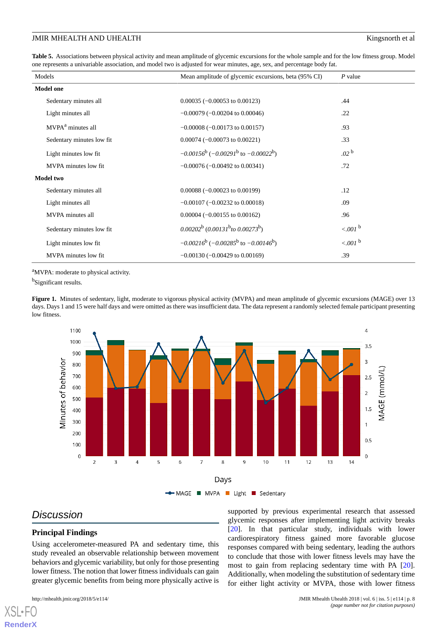#### JMIR MHEALTH AND UHEALTH **EXECUTE 1** and the state of the state of the state of the state of the state of the state of the state of the state of the state of the state of the state of the state of the state of the state of

<span id="page-8-0"></span>**Table 5.** Associations between physical activity and mean amplitude of glycemic excursions for the whole sample and for the low fitness group. Model one represents a univariable association, and model two is adjusted for wear minutes, age, sex, and percentage body fat.

| Models                        | Mean amplitude of glycemic excursions, beta (95% CI) | $P$ value             |
|-------------------------------|------------------------------------------------------|-----------------------|
| <b>Model one</b>              |                                                      |                       |
| Sedentary minutes all         | $0.00035 (-0.00053$ to $0.00123)$                    | .44                   |
| Light minutes all             | $-0.00079$ ( $-0.00204$ to 0.00046)                  | .22                   |
| MVPA <sup>a</sup> minutes all | $-0.00008$ ( $-0.00173$ to 0.00157)                  | .93                   |
| Sedentary minutes low fit     | $0.00074 (-0.00073$ to $0.00221)$                    | .33                   |
| Light minutes low fit.        | $-0.00156^b$ ( $-0.00291^b$ to $-0.00022^b$ )        | .02 <sup>b</sup>      |
| MVPA minutes low fit.         | $-0.00076$ ( $-0.00492$ to 0.00341)                  | .72                   |
| <b>Model two</b>              |                                                      |                       |
| Sedentary minutes all         | $0.00088 (-0.00023$ to $0.00199)$                    | .12                   |
| Light minutes all             | $-0.00107$ ( $-0.00232$ to 0.00018)                  | .09                   |
| MVPA minutes all              | $0.00004 (-0.00155$ to $0.00162$ )                   | .96                   |
| Sedentary minutes low fit     | $(0.00202^b)(0.00131^b)$ to $(0.00273^b)$            | $< .001$ <sup>b</sup> |
| Light minutes low fit         | $-0.00216^b$ ( $-0.00285^b$ to $-0.00146^b$ )        | $<.001$ <sup>b</sup>  |
| MVPA minutes low fit          | $-0.00130$ ( $-0.00429$ to 0.00169)                  | .39                   |

<span id="page-8-1"></span><sup>a</sup>MVPA: moderate to physical activity.

<sup>b</sup>Significant results.

Figure 1. Minutes of sedentary, light, moderate to vigorous physical activity (MVPA) and mean amplitude of glycemic excursions (MAGE) over 13 days. Days 1 and 15 were half days and were omitted as there was insufficient data. The data represent a randomly selected female participant presenting low fitness.



# *Discussion*

#### **Principal Findings**

Using accelerometer-measured PA and sedentary time, this study revealed an observable relationship between movement behaviors and glycemic variability, but only for those presenting lower fitness. The notion that lower fitness individuals can gain greater glycemic benefits from being more physically active is

[XSL](http://www.w3.org/Style/XSL)•FO **[RenderX](http://www.renderx.com/)**

supported by previous experimental research that assessed glycemic responses after implementing light activity breaks [[20\]](#page-12-2). In that particular study, individuals with lower cardiorespiratory fitness gained more favorable glucose responses compared with being sedentary, leading the authors to conclude that those with lower fitness levels may have the most to gain from replacing sedentary time with PA [[20\]](#page-12-2). Additionally, when modeling the substitution of sedentary time for either light activity or MVPA, those with lower fitness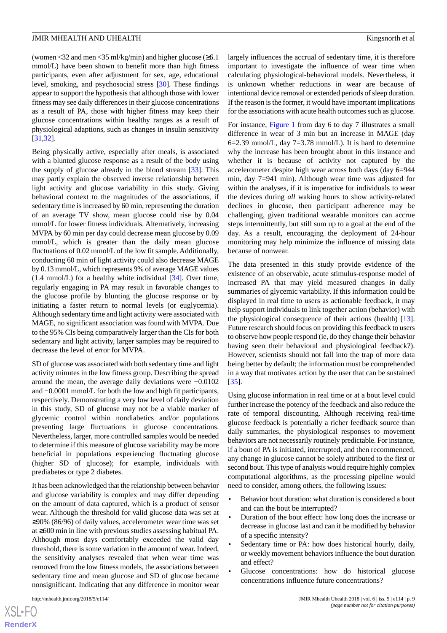(women <32 and men <35 ml/kg/min) and higher glucose ( $\geq 6.1$ ) mmol/L) have been shown to benefit more than high fitness participants, even after adjustment for sex, age, educational level, smoking, and psychosocial stress [[30\]](#page-12-12). These findings appear to support the hypothesis that although those with lower fitness may see daily differences in their glucose concentrations as a result of PA, those with higher fitness may keep their glucose concentrations within healthy ranges as a result of physiological adaptions, such as changes in insulin sensitivity [[31](#page-12-13)[,32](#page-12-14)].

Being physically active, especially after meals, is associated with a blunted glucose response as a result of the body using the supply of glucose already in the blood stream [[33\]](#page-12-15). This may partly explain the observed inverse relationship between light activity and glucose variability in this study. Giving behavioral context to the magnitudes of the associations, if sedentary time is increased by 60 min, representing the duration of an average TV show, mean glucose could rise by 0.04 mmol/L for lower fitness individuals. Alternatively, increasing MVPA by 60 min per day could decrease mean glucose by 0.09 mmol/L, which is greater than the daily mean glucose fluctuations of 0.02 mmol/L of the low fit sample. Additionally, conducting 60 min of light activity could also decrease MAGE by 0.13 mmol/L, which represents 9% of average MAGE values  $(1.4 \text{ mmol/L})$  for a healthy white individual  $[34]$  $[34]$ . Over time, regularly engaging in PA may result in favorable changes to the glucose profile by blunting the glucose response or by initiating a faster return to normal levels (or euglycemia). Although sedentary time and light activity were associated with MAGE, no significant association was found with MVPA. Due to the 95% CIs being comparatively larger than the CIs for both sedentary and light activity, larger samples may be required to decrease the level of error for MVPA.

SD of glucose was associated with both sedentary time and light activity minutes in the low fitness group. Describing the spread around the mean, the average daily deviations were −0.0102 and −0.0001 mmol/L for both the low and high fit participants, respectively. Demonstrating a very low level of daily deviation in this study, SD of glucose may not be a viable marker of glycemic control within nondiabetics and/or populations presenting large fluctuations in glucose concentrations. Nevertheless, larger, more controlled samples would be needed to determine if this measure of glucose variability may be more beneficial in populations experiencing fluctuating glucose (higher SD of glucose); for example, individuals with prediabetes or type 2 diabetes.

It has been acknowledged that the relationship between behavior and glucose variability is complex and may differ depending on the amount of data captured, which is a product of sensor wear. Although the threshold for valid glucose data was set at ≥90% (86/96) of daily values, accelerometer wear time was set at ≥600 min in line with previous studies assessing habitual PA. Although most days comfortably exceeded the valid day threshold, there is some variation in the amount of wear. Indeed, the sensitivity analyses revealed that when wear time was removed from the low fitness models, the associations between sedentary time and mean glucose and SD of glucose became nonsignificant. Indicating that any difference in monitor wear

 $XSJ \cdot F$ **[RenderX](http://www.renderx.com/)** largely influences the accrual of sedentary time, it is therefore important to investigate the influence of wear time when calculating physiological-behavioral models. Nevertheless, it is unknown whether reductions in wear are because of intentional device removal or extended periods of sleep duration. If the reason is the former, it would have important implications for the associations with acute health outcomes such as glucose.

For instance, [Figure 1](#page-8-1) from day 6 to day 7 illustrates a small difference in wear of 3 min but an increase in MAGE (day 6=2.39 mmol/L, day 7=3.78 mmol/L). It is hard to determine why the increase has been brought about in this instance and whether it is because of activity not captured by the accelerometer despite high wear across both days (day 6=944 min, day 7=941 min). Although wear time was adjusted for within the analyses, if it is imperative for individuals to wear the devices during *all* waking hours to show activity-related declines in glucose, then participant adherence may be challenging, given traditional wearable monitors can accrue steps intermittently, but still sum up to a goal at the end of the day. As a result, encouraging the deployment of 24-hour monitoring may help minimize the influence of missing data because of nonwear.

The data presented in this study provide evidence of the existence of an observable, acute stimulus-response model of increased PA that may yield measured changes in daily summaries of glycemic variability. If this information could be displayed in real time to users as actionable feedback, it may help support individuals to link together action (behavior) with the physiological consequence of their actions (health) [[13\]](#page-11-11). Future research should focus on providing this feedback to users to observe how people respond (ie, do they change their behavior having seen their behavioral and physiological feedback?). However, scientists should not fall into the trap of more data being better by default; the information must be comprehended in a way that motivates action by the user that can be sustained [[35\]](#page-12-17).

Using glucose information in real time or at a bout level could further increase the potency of the feedback and also reduce the rate of temporal discounting. Although receiving real-time glucose feedback is potentially a richer feedback source than daily summaries, the physiological responses to movement behaviors are not necessarily routinely predictable. For instance, if a bout of PA is initiated, interrupted, and then recommenced, any change in glucose cannot be solely attributed to the first or second bout. This type of analysis would require highly complex computational algorithms, as the processing pipeline would need to consider, among others, the following issues:

- Behavior bout duration: what duration is considered a bout and can the bout be interrupted?
- Duration of the bout effect: how long does the increase or decrease in glucose last and can it be modified by behavior of a specific intensity?
- Sedentary time or PA: how does historical hourly, daily, or weekly movement behaviors influence the bout duration and effect?
- Glucose concentrations: how do historical glucose concentrations influence future concentrations?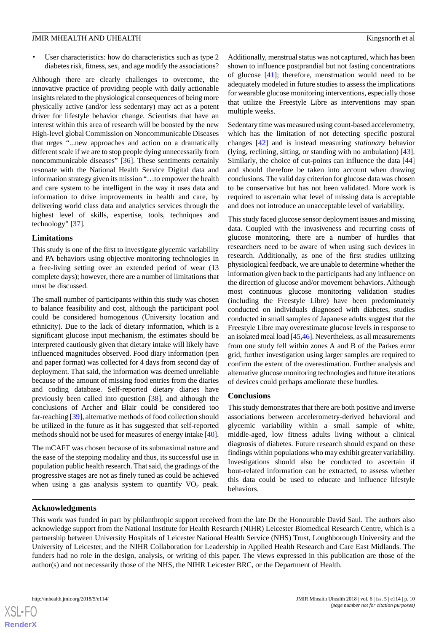User characteristics: how do characteristics such as type 2 diabetes risk, fitness, sex, and age modify the associations?

Although there are clearly challenges to overcome, the innovative practice of providing people with daily actionable insights related to the physiological consequences of being more physically active (and/or less sedentary) may act as a potent driver for lifestyle behavior change. Scientists that have an interest within this area of research will be boosted by the new High-level global Commission on Noncommunicable Diseases that urges "...new approaches and action on a dramatically different scale if we are to stop people dying unnecessarily from noncommunicable diseases" [[36\]](#page-12-18). These sentiments certainly resonate with the National Health Service Digital data and information strategy given its mission "…to empower the health and care system to be intelligent in the way it uses data and information to drive improvements in health and care, by delivering world class data and analytics services through the highest level of skills, expertise, tools, techniques and technology" [\[37](#page-12-19)].

#### **Limitations**

This study is one of the first to investigate glycemic variability and PA behaviors using objective monitoring technologies in a free-living setting over an extended period of wear (13 complete days); however, there are a number of limitations that must be discussed.

The small number of participants within this study was chosen to balance feasibility and cost, although the participant pool could be considered homogenous (University location and ethnicity). Due to the lack of dietary information, which is a significant glucose input mechanism, the estimates should be interpreted cautiously given that dietary intake will likely have influenced magnitudes observed. Food diary information (pen and paper format) was collected for 4 days from second day of deployment. That said, the information was deemed unreliable because of the amount of missing food entries from the diaries and coding database. Self-reported dietary diaries have previously been called into question [\[38](#page-12-20)], and although the conclusions of Archer and Blair could be considered too far-reaching [\[39](#page-12-21)], alternative methods of food collection should be utilized in the future as it has suggested that self-reported methods should not be used for measures of energy intake [[40\]](#page-13-0).

The mCAFT was chosen because of its submaximal nature and the ease of the stepping modality and thus, its successful use in population public health research. That said, the gradings of the progressive stages are not as finely tuned as could be achieved when using a gas analysis system to quantify  $VO<sub>2</sub>$  peak.

Additionally, menstrual status was not captured, which has been shown to influence postprandial but not fasting concentrations of glucose [[41\]](#page-13-1); therefore, menstruation would need to be adequately modeled in future studies to assess the implications for wearable glucose monitoring interventions, especially those that utilize the Freestyle Libre as interventions may span multiple weeks.

Sedentary time was measured using count-based accelerometry, which has the limitation of not detecting specific postural changes [\[42](#page-13-2)] and is instead measuring *stationary* behavior (lying, reclining, sitting, or standing with no ambulation) [[43\]](#page-13-3). Similarly, the choice of cut-points can influence the data [\[44](#page-13-4)] and should therefore be taken into account when drawing conclusions. The valid day criterion for glucose data was chosen to be conservative but has not been validated. More work is required to ascertain what level of missing data is acceptable and does not introduce an unacceptable level of variability.

This study faced glucose sensor deployment issues and missing data. Coupled with the invasiveness and recurring costs of glucose monitoring, there are a number of hurdles that researchers need to be aware of when using such devices in research. Additionally, as one of the first studies utilizing physiological feedback, we are unable to determine whether the information given back to the participants had any influence on the direction of glucose and/or movement behaviors. Although most continuous glucose monitoring validation studies (including the Freestyle Libre) have been predominately conducted on individuals diagnosed with diabetes, studies conducted in small samples of Japanese adults suggest that the Freestyle Libre may overestimate glucose levels in response to an isolated meal load [\[45](#page-13-5),[46](#page-13-6)]. Nevertheless, as all measurements from one study fell within zones A and B of the Parkes error grid, further investigation using larger samples are required to confirm the extent of the overestimation. Further analysis and alternative glucose monitoring technologies and future iterations of devices could perhaps ameliorate these hurdles.

#### **Conclusions**

This study demonstrates that there are both positive and inverse associations between accelerometry-derived behavioral and glycemic variability within a small sample of white, middle-aged, low fitness adults living without a clinical diagnosis of diabetes. Future research should expand on these findings within populations who may exhibit greater variability. Investigations should also be conducted to ascertain if bout-related information can be extracted, to assess whether this data could be used to educate and influence lifestyle behaviors.

#### **Acknowledgments**

This work was funded in part by philanthropic support received from the late Dr the Honourable David Saul. The authors also acknowledge support from the National Institute for Health Research (NIHR) Leicester Biomedical Research Centre, which is a partnership between University Hospitals of Leicester National Health Service (NHS) Trust, Loughborough University and the University of Leicester, and the NIHR Collaboration for Leadership in Applied Health Research and Care East Midlands. The funders had no role in the design, analysis, or writing of this paper. The views expressed in this publication are those of the author(s) and not necessarily those of the NHS, the NIHR Leicester BRC, or the Department of Health.

 $XS$  $\cdot$ FC **[RenderX](http://www.renderx.com/)**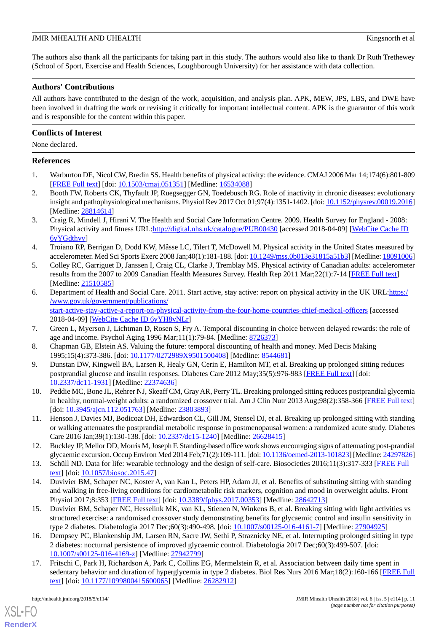The authors also thank all the participants for taking part in this study. The authors would also like to thank Dr Ruth Trethewey (School of Sport, Exercise and Health Sciences, Loughborough University) for her assistance with data collection.

#### **Authors' Contributions**

All authors have contributed to the design of the work, acquisition, and analysis plan. APK, MEW, JPS, LBS, and DWE have been involved in drafting the work or revising it critically for important intellectual content. APK is the guarantor of this work and is responsible for the content within this paper.

#### **Conflicts of Interest**

None declared.

#### <span id="page-11-0"></span>**References**

- <span id="page-11-1"></span>1. Warburton DE, Nicol CW, Bredin SS. Health benefits of physical activity: the evidence. CMAJ 2006 Mar 14;174(6):801-809 [[FREE Full text](http://www.cmaj.ca/cgi/pmidlookup?view=long&pmid=16534088)] [doi: [10.1503/cmaj.051351\]](http://dx.doi.org/10.1503/cmaj.051351) [Medline: [16534088](http://www.ncbi.nlm.nih.gov/entrez/query.fcgi?cmd=Retrieve&db=PubMed&list_uids=16534088&dopt=Abstract)]
- <span id="page-11-2"></span>2. Booth FW, Roberts CK, Thyfault JP, Ruegsegger GN, Toedebusch RG. Role of inactivity in chronic diseases: evolutionary insight and pathophysiological mechanisms. Physiol Rev 2017 Oct 01:97(4):1351-1402. [doi: [10.1152/physrev.00019.2016\]](http://dx.doi.org/10.1152/physrev.00019.2016) [Medline: [28814614](http://www.ncbi.nlm.nih.gov/entrez/query.fcgi?cmd=Retrieve&db=PubMed&list_uids=28814614&dopt=Abstract)]
- <span id="page-11-15"></span>3. Craig R, Mindell J, Hirani V. The Health and Social Care Information Centre. 2009. Health Survey for England - 2008: Physical activity and fitness URL[:http://digital.nhs.uk/catalogue/PUB00430](http://digital.nhs.uk/catalogue/PUB00430) [accessed 2018-04-09] [\[WebCite Cache ID](http://www.webcitation.org/
                                            6yYGdthvv) [6yYGdthvv\]](http://www.webcitation.org/
                                            6yYGdthvv)
- <span id="page-11-3"></span>4. Troiano RP, Berrigan D, Dodd KW, Mâsse LC, Tilert T, McDowell M. Physical activity in the United States measured by accelerometer. Med Sci Sports Exerc 2008 Jan;40(1):181-188. [doi: [10.1249/mss.0b013e31815a51b3\]](http://dx.doi.org/10.1249/mss.0b013e31815a51b3) [Medline: [18091006\]](http://www.ncbi.nlm.nih.gov/entrez/query.fcgi?cmd=Retrieve&db=PubMed&list_uids=18091006&dopt=Abstract)
- <span id="page-11-4"></span>5. Colley RC, Garriguet D, Janssen I, Craig CL, Clarke J, Tremblay MS. Physical activity of Canadian adults: accelerometer results from the 2007 to 2009 Canadian Health Measures Survey. Health Rep 2011 Mar; 22(1): 7-14 [\[FREE Full text](http://www.statcan.gc.ca/pub/82-003-x/2011001/article/11396-eng.pdf)] [Medline: [21510585](http://www.ncbi.nlm.nih.gov/entrez/query.fcgi?cmd=Retrieve&db=PubMed&list_uids=21510585&dopt=Abstract)]
- <span id="page-11-5"></span>6. Department of Health and Social Care. 2011. Start active, stay active: report on physical activity in the UK URL: https:/ [/www.gov.uk/government/publications/](https://www.gov.uk/government/publications/start-active-stay-active-a-report-on-physical-activity-from-the-four-home-countries-chief-medical-officers) [start-active-stay-active-a-report-on-physical-activity-from-the-four-home-countries-chief-medical-officers](https://www.gov.uk/government/publications/start-active-stay-active-a-report-on-physical-activity-from-the-four-home-countries-chief-medical-officers) [accessed 2018-04-09] [\[WebCite Cache ID 6yYH8vNLr](http://www.webcitation.org/
                                            6yYH8vNLr)]
- <span id="page-11-7"></span><span id="page-11-6"></span>7. Green L, Myerson J, Lichtman D, Rosen S, Fry A. Temporal discounting in choice between delayed rewards: the role of age and income. Psychol Aging 1996 Mar;11(1):79-84. [Medline: [8726373](http://www.ncbi.nlm.nih.gov/entrez/query.fcgi?cmd=Retrieve&db=PubMed&list_uids=8726373&dopt=Abstract)]
- <span id="page-11-8"></span>8. Chapman GB, Elstein AS. Valuing the future: temporal discounting of health and money. Med Decis Making 1995;15(4):373-386. [doi: [10.1177/0272989X9501500408\]](http://dx.doi.org/10.1177/0272989X9501500408) [Medline: [8544681\]](http://www.ncbi.nlm.nih.gov/entrez/query.fcgi?cmd=Retrieve&db=PubMed&list_uids=8544681&dopt=Abstract)
- <span id="page-11-9"></span>9. Dunstan DW, Kingwell BA, Larsen R, Healy GN, Cerin E, Hamilton MT, et al. Breaking up prolonged sitting reduces postprandial glucose and insulin responses. Diabetes Care 2012 May;35(5):976-983 [\[FREE Full text\]](http://europepmc.org/abstract/MED/22374636) [doi: [10.2337/dc11-1931\]](http://dx.doi.org/10.2337/dc11-1931) [Medline: [22374636](http://www.ncbi.nlm.nih.gov/entrez/query.fcgi?cmd=Retrieve&db=PubMed&list_uids=22374636&dopt=Abstract)]
- <span id="page-11-10"></span>10. Peddie MC, Bone JL, Rehrer NJ, Skeaff CM, Gray AR, Perry TL. Breaking prolonged sitting reduces postprandial glycemia in healthy, normal-weight adults: a randomized crossover trial. Am J Clin Nutr 2013 Aug;98(2):358-366 [[FREE Full text](http://www.ajcn.org/cgi/pmidlookup?view=long&pmid=23803893)] [doi: [10.3945/ajcn.112.051763\]](http://dx.doi.org/10.3945/ajcn.112.051763) [Medline: [23803893\]](http://www.ncbi.nlm.nih.gov/entrez/query.fcgi?cmd=Retrieve&db=PubMed&list_uids=23803893&dopt=Abstract)
- <span id="page-11-11"></span>11. Henson J, Davies MJ, Bodicoat DH, Edwardson CL, Gill JM, Stensel DJ, et al. Breaking up prolonged sitting with standing or walking attenuates the postprandial metabolic response in postmenopausal women: a randomized acute study. Diabetes Care 2016 Jan;39(1):130-138. [doi: [10.2337/dc15-1240\]](http://dx.doi.org/10.2337/dc15-1240) [Medline: [26628415](http://www.ncbi.nlm.nih.gov/entrez/query.fcgi?cmd=Retrieve&db=PubMed&list_uids=26628415&dopt=Abstract)]
- <span id="page-11-12"></span>12. Buckley JP, Mellor DD, Morris M, Joseph F. Standing-based office work shows encouraging signs of attenuating post-prandial glycaemic excursion. Occup Environ Med 2014 Feb;71(2):109-111. [doi: [10.1136/oemed-2013-101823](http://dx.doi.org/10.1136/oemed-2013-101823)] [Medline: [24297826\]](http://www.ncbi.nlm.nih.gov/entrez/query.fcgi?cmd=Retrieve&db=PubMed&list_uids=24297826&dopt=Abstract)
- 13. Schüll ND. Data for life: wearable technology and the design of self-care. Biosocieties 2016;11(3):317-333 [[FREE Full](http://arts.mit.edu/wp-content/uploads/2016/11/Data-for-Life-Wearable-Technology-and-the-Design-of-Self-Care.pdf) [text](http://arts.mit.edu/wp-content/uploads/2016/11/Data-for-Life-Wearable-Technology-and-the-Design-of-Self-Care.pdf)] [doi: [10.1057/biosoc.2015.47\]](http://dx.doi.org/10.1057/biosoc.2015.47)
- <span id="page-11-13"></span>14. Duvivier BM, Schaper NC, Koster A, van Kan L, Peters HP, Adam JJ, et al. Benefits of substituting sitting with standing and walking in free-living conditions for cardiometabolic risk markers, cognition and mood in overweight adults. Front Physiol 2017;8:353 [\[FREE Full text\]](https://dx.doi.org/10.3389/fphys.2017.00353) [doi: [10.3389/fphys.2017.00353\]](http://dx.doi.org/10.3389/fphys.2017.00353) [Medline: [28642713](http://www.ncbi.nlm.nih.gov/entrez/query.fcgi?cmd=Retrieve&db=PubMed&list_uids=28642713&dopt=Abstract)]
- <span id="page-11-14"></span>15. Duvivier BM, Schaper NC, Hesselink MK, van KL, Stienen N, Winkens B, et al. Breaking sitting with light activities vs structured exercise: a randomised crossover study demonstrating benefits for glycaemic control and insulin sensitivity in type 2 diabetes. Diabetologia 2017 Dec;60(3):490-498. [doi: [10.1007/s00125-016-4161-7](http://dx.doi.org/10.1007/s00125-016-4161-7)] [Medline: [27904925](http://www.ncbi.nlm.nih.gov/entrez/query.fcgi?cmd=Retrieve&db=PubMed&list_uids=27904925&dopt=Abstract)]
- 16. Dempsey PC, Blankenship JM, Larsen RN, Sacre JW, Sethi P, Straznicky NE, et al. Interrupting prolonged sitting in type 2 diabetes: nocturnal persistence of improved glycaemic control. Diabetologia 2017 Dec;60(3):499-507. [doi: [10.1007/s00125-016-4169-z](http://dx.doi.org/10.1007/s00125-016-4169-z)] [Medline: [27942799\]](http://www.ncbi.nlm.nih.gov/entrez/query.fcgi?cmd=Retrieve&db=PubMed&list_uids=27942799&dopt=Abstract)
- 17. Fritschi C, Park H, Richardson A, Park C, Collins EG, Mermelstein R, et al. Association between daily time spent in sedentary behavior and duration of hyperglycemia in type 2 diabetes. Biol Res Nurs 2016 Mar;18(2):160-166 [[FREE Full](http://europepmc.org/abstract/MED/26282912) [text](http://europepmc.org/abstract/MED/26282912)] [doi: [10.1177/1099800415600065\]](http://dx.doi.org/10.1177/1099800415600065) [Medline: [26282912\]](http://www.ncbi.nlm.nih.gov/entrez/query.fcgi?cmd=Retrieve&db=PubMed&list_uids=26282912&dopt=Abstract)

[XSL](http://www.w3.org/Style/XSL)•FO **[RenderX](http://www.renderx.com/)**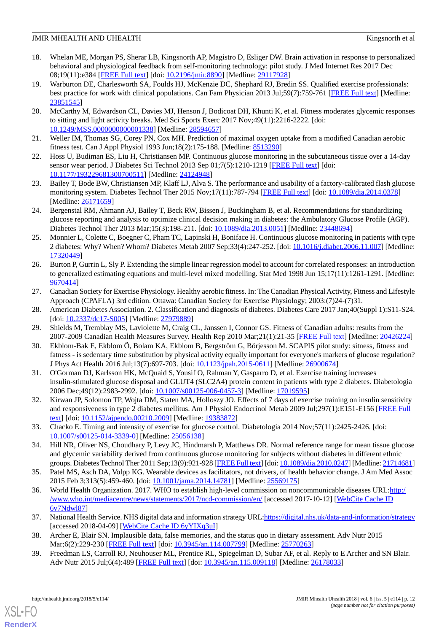- <span id="page-12-0"></span>18. Whelan ME, Morgan PS, Sherar LB, Kingsnorth AP, Magistro D, Esliger DW. Brain activation in response to personalized behavioral and physiological feedback from self-monitoring technology: pilot study. J Med Internet Res 2017 Dec 08;19(11):e384 [\[FREE Full text](http://www.jmir.org/2017/11/e384/)] [doi: [10.2196/jmir.8890\]](http://dx.doi.org/10.2196/jmir.8890) [Medline: [29117928](http://www.ncbi.nlm.nih.gov/entrez/query.fcgi?cmd=Retrieve&db=PubMed&list_uids=29117928&dopt=Abstract)]
- <span id="page-12-1"></span>19. Warburton DE, Charlesworth SA, Foulds HJ, McKenzie DC, Shephard RJ, Bredin SS. Qualified exercise professionals: best practice for work with clinical populations. Can Fam Physician 2013 Jul;59(7):759-761 [[FREE Full text](http://www.cfp.ca/cgi/pmidlookup?view=long&pmid=23851545)] [Medline: [23851545](http://www.ncbi.nlm.nih.gov/entrez/query.fcgi?cmd=Retrieve&db=PubMed&list_uids=23851545&dopt=Abstract)]
- <span id="page-12-2"></span>20. McCarthy M, Edwardson CL, Davies MJ, Henson J, Bodicoat DH, Khunti K, et al. Fitness moderates glycemic responses to sitting and light activity breaks. Med Sci Sports Exerc 2017 Nov;49(11):2216-2222. [doi: [10.1249/MSS.0000000000001338](http://dx.doi.org/10.1249/MSS.0000000000001338)] [Medline: [28594657](http://www.ncbi.nlm.nih.gov/entrez/query.fcgi?cmd=Retrieve&db=PubMed&list_uids=28594657&dopt=Abstract)]
- <span id="page-12-4"></span><span id="page-12-3"></span>21. Weller IM, Thomas SG, Corey PN, Cox MH. Prediction of maximal oxygen uptake from a modified Canadian aerobic fitness test. Can J Appl Physiol 1993 Jun;18(2):175-188. [Medline: [8513290](http://www.ncbi.nlm.nih.gov/entrez/query.fcgi?cmd=Retrieve&db=PubMed&list_uids=8513290&dopt=Abstract)]
- <span id="page-12-5"></span>22. Hoss U, Budiman ES, Liu H, Christiansen MP. Continuous glucose monitoring in the subcutaneous tissue over a 14-day sensor wear period. J Diabetes Sci Technol 2013 Sep 01;7(5):1210-1219 [[FREE Full text](http://europepmc.org/abstract/MED/24124948)] [doi: [10.1177/193229681300700511\]](http://dx.doi.org/10.1177/193229681300700511) [Medline: [24124948\]](http://www.ncbi.nlm.nih.gov/entrez/query.fcgi?cmd=Retrieve&db=PubMed&list_uids=24124948&dopt=Abstract)
- <span id="page-12-6"></span>23. Bailey T, Bode BW, Christiansen MP, Klaff LJ, Alva S. The performance and usability of a factory-calibrated flash glucose monitoring system. Diabetes Technol Ther 2015 Nov;17(11):787-794 [\[FREE Full text\]](http://europepmc.org/abstract/MED/26171659) [doi: [10.1089/dia.2014.0378](http://dx.doi.org/10.1089/dia.2014.0378)] [Medline: [26171659](http://www.ncbi.nlm.nih.gov/entrez/query.fcgi?cmd=Retrieve&db=PubMed&list_uids=26171659&dopt=Abstract)]
- <span id="page-12-7"></span>24. Bergenstal RM, Ahmann AJ, Bailey T, Beck RW, Bissen J, Buckingham B, et al. Recommendations for standardizing glucose reporting and analysis to optimize clinical decision making in diabetes: the Ambulatory Glucose Profile (AGP). Diabetes Technol Ther 2013 Mar;15(3):198-211. [doi: [10.1089/dia.2013.0051](http://dx.doi.org/10.1089/dia.2013.0051)] [Medline: [23448694\]](http://www.ncbi.nlm.nih.gov/entrez/query.fcgi?cmd=Retrieve&db=PubMed&list_uids=23448694&dopt=Abstract)
- <span id="page-12-8"></span>25. Monnier L, Colette C, Boegner C, Pham TC, Lapinski H, Boniface H. Continuous glucose monitoring in patients with type 2 diabetes: Why? When? Whom? Diabetes Metab 2007 Sep;33(4):247-252. [doi: [10.1016/j.diabet.2006.11.007\]](http://dx.doi.org/10.1016/j.diabet.2006.11.007) [Medline: [17320449](http://www.ncbi.nlm.nih.gov/entrez/query.fcgi?cmd=Retrieve&db=PubMed&list_uids=17320449&dopt=Abstract)]
- <span id="page-12-9"></span>26. Burton P, Gurrin L, Sly P. Extending the simple linear regression model to account for correlated responses: an introduction to generalized estimating equations and multi-level mixed modelling. Stat Med 1998 Jun 15;17(11):1261-1291. [Medline: [9670414\]](http://www.ncbi.nlm.nih.gov/entrez/query.fcgi?cmd=Retrieve&db=PubMed&list_uids=9670414&dopt=Abstract)
- <span id="page-12-11"></span><span id="page-12-10"></span>27. Canadian Society for Exercise Physiology. Healthy aerobic fitness. In: The Canadian Physical Activity, Fitness and Lifestyle Approach (CPAFLA) 3rd edition. Ottawa: Canadian Society for Exercise Physiology; 2003:(7)24-(7)31.
- <span id="page-12-12"></span>28. American Diabetes Association. 2. Classification and diagnosis of diabetes. Diabetes Care 2017 Jan;40(Suppl 1):S11-S24. [doi: [10.2337/dc17-S005](http://dx.doi.org/10.2337/dc17-S005)] [Medline: [27979889](http://www.ncbi.nlm.nih.gov/entrez/query.fcgi?cmd=Retrieve&db=PubMed&list_uids=27979889&dopt=Abstract)]
- <span id="page-12-13"></span>29. Shields M, Tremblay MS, Laviolette M, Craig CL, Janssen I, Connor GS. Fitness of Canadian adults: results from the 2007-2009 Canadian Health Measures Survey. Health Rep 2010 Mar;21(1):21-35 [\[FREE Full text\]](http://www.statcan.gc.ca/pub/82-003-x/2010001/article/11064-eng.pdf) [Medline: [20426224](http://www.ncbi.nlm.nih.gov/entrez/query.fcgi?cmd=Retrieve&db=PubMed&list_uids=20426224&dopt=Abstract)]
- 30. Ekblom-Bak E, Ekblom Ö, Bolam KA, Ekblom B, Bergström G, Börjesson M. SCAPIS pilot study: sitness, fitness and fatness - is sedentary time substitution by physical activity equally important for everyone's markers of glucose regulation? J Phys Act Health 2016 Jul;13(7):697-703. [doi: [10.1123/jpah.2015-0611\]](http://dx.doi.org/10.1123/jpah.2015-0611) [Medline: [26900674\]](http://www.ncbi.nlm.nih.gov/entrez/query.fcgi?cmd=Retrieve&db=PubMed&list_uids=26900674&dopt=Abstract)
- <span id="page-12-15"></span><span id="page-12-14"></span>31. O'Gorman DJ, Karlsson HK, McQuaid S, Yousif O, Rahman Y, Gasparro D, et al. Exercise training increases insulin-stimulated glucose disposal and GLUT4 (SLC2A4) protein content in patients with type 2 diabetes. Diabetologia 2006 Dec;49(12):2983-2992. [doi: [10.1007/s00125-006-0457-3](http://dx.doi.org/10.1007/s00125-006-0457-3)] [Medline: [17019595\]](http://www.ncbi.nlm.nih.gov/entrez/query.fcgi?cmd=Retrieve&db=PubMed&list_uids=17019595&dopt=Abstract)
- <span id="page-12-16"></span>32. Kirwan JP, Solomon TP, Wojta DM, Staten MA, Holloszy JO. Effects of 7 days of exercise training on insulin sensitivity and responsiveness in type 2 diabetes mellitus. Am J Physiol Endocrinol Metab 2009 Jul;297(1):E151-E156 [\[FREE Full](http://ajpendo.physiology.org/cgi/pmidlookup?view=long&pmid=19383872) [text](http://ajpendo.physiology.org/cgi/pmidlookup?view=long&pmid=19383872)] [doi: [10.1152/ajpendo.00210.2009\]](http://dx.doi.org/10.1152/ajpendo.00210.2009) [Medline: [19383872](http://www.ncbi.nlm.nih.gov/entrez/query.fcgi?cmd=Retrieve&db=PubMed&list_uids=19383872&dopt=Abstract)]
- <span id="page-12-17"></span>33. Chacko E. Timing and intensity of exercise for glucose control. Diabetologia 2014 Nov;57(11):2425-2426. [doi: [10.1007/s00125-014-3339-0\]](http://dx.doi.org/10.1007/s00125-014-3339-0) [Medline: [25056138](http://www.ncbi.nlm.nih.gov/entrez/query.fcgi?cmd=Retrieve&db=PubMed&list_uids=25056138&dopt=Abstract)]
- <span id="page-12-18"></span>34. Hill NR, Oliver NS, Choudhary P, Levy JC, Hindmarsh P, Matthews DR. Normal reference range for mean tissue glucose and glycemic variability derived from continuous glucose monitoring for subjects without diabetes in different ethnic groups. Diabetes Technol Ther 2011 Sep;13(9):921-928 [[FREE Full text](http://europepmc.org/abstract/MED/21714681)] [doi: [10.1089/dia.2010.0247](http://dx.doi.org/10.1089/dia.2010.0247)] [Medline: [21714681](http://www.ncbi.nlm.nih.gov/entrez/query.fcgi?cmd=Retrieve&db=PubMed&list_uids=21714681&dopt=Abstract)]
- <span id="page-12-19"></span>35. Patel MS, Asch DA, Volpp KG. Wearable devices as facilitators, not drivers, of health behavior change. J Am Med Assoc 2015 Feb 3;313(5):459-460. [doi: [10.1001/jama.2014.14781](http://dx.doi.org/10.1001/jama.2014.14781)] [Medline: [25569175\]](http://www.ncbi.nlm.nih.gov/entrez/query.fcgi?cmd=Retrieve&db=PubMed&list_uids=25569175&dopt=Abstract)
- <span id="page-12-21"></span><span id="page-12-20"></span>36. World Health Organization. 2017. WHO to establish high-level commission on noncommunicable diseases URL: http:/ [/www.who.int/mediacentre/news/statements/2017/ncd-commission/en/](http://www.who.int/mediacentre/news/statements/2017/ncd-commission/en/) [accessed 2017-10-12] [[WebCite Cache ID](http://www.webcitation.org/
                                            6v7Ndwl87) [6v7Ndwl87\]](http://www.webcitation.org/
                                            6v7Ndwl87)
- 37. National Health Service. NHS digital data and information strategy URL:<https://digital.nhs.uk/data-and-information/strategy> [accessed 2018-04-09] [\[WebCite Cache ID 6yYIXq3uI](http://www.webcitation.org/
                                            6yYIXq3uI)]
- 38. Archer E, Blair SN. Implausible data, false memories, and the status quo in dietary assessment. Adv Nutr 2015 Mar;6(2):229-230 [[FREE Full text\]](http://advances.nutrition.org/cgi/pmidlookup?view=long&pmid=25770263) [doi: [10.3945/an.114.007799\]](http://dx.doi.org/10.3945/an.114.007799) [Medline: [25770263\]](http://www.ncbi.nlm.nih.gov/entrez/query.fcgi?cmd=Retrieve&db=PubMed&list_uids=25770263&dopt=Abstract)
- 39. Freedman LS, Carroll RJ, Neuhouser ML, Prentice RL, Spiegelman D, Subar AF, et al. Reply to E Archer and SN Blair. Adv Nutr 2015 Jul;6(4):489 [\[FREE Full text\]](http://europepmc.org/abstract/MED/26178033) [doi: [10.3945/an.115.009118\]](http://dx.doi.org/10.3945/an.115.009118) [Medline: [26178033](http://www.ncbi.nlm.nih.gov/entrez/query.fcgi?cmd=Retrieve&db=PubMed&list_uids=26178033&dopt=Abstract)]

[XSL](http://www.w3.org/Style/XSL)•FO **[RenderX](http://www.renderx.com/)**